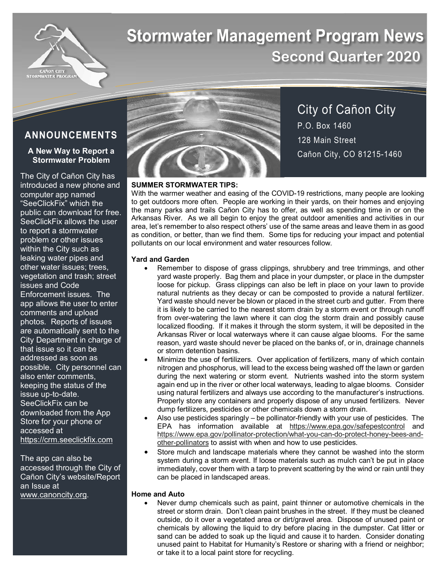

# **Stormwater Management Program News Second Quarter 2020**

## **ANNOUNCEMENTS**

## **A New Way to Report a Stormwater Problem**

The City of Cañon City has introduced a new phone and computer app named "SeeClickFix" which the public can download for free. SeeClickFix allows the user to report a stormwater problem or other issues within the City such as leaking water pipes and other water issues; trees, vegetation and trash; street issues and Code Enforcement issues. The app allows the user to enter comments and upload photos. Reports of issues are automatically sent to the City Department in charge of that issue so it can be addressed as soon as possible. City personnel can also enter comments, keeping the status of the issue up-to-date. SeeClickFix can be downloaded from the App Store for your phone or accessed at https://crm.seeclickfix.com

The app can also be accessed through the City of Cañon City's website/Report an Issue at www.canoncity.org.



City of Cañon City P.O. Box 1460 128 Main Street Cañon City, CO 81215-1460

## **SUMMER STORMWATER TIPS:**

With the warmer weather and easing of the COVID-19 restrictions, many people are looking to get outdoors more often. People are working in their yards, on their homes and enjoying the many parks and trails Cañon City has to offer, as well as spending time in or on the Arkansas River. As we all begin to enjoy the great outdoor amenities and activities in our area, let's remember to also respect others' use of the same areas and leave them in as good as condition, or better, than we find them. Some tips for reducing your impact and potential pollutants on our local environment and water resources follow.

## **Yard and Garden**

- Remember to dispose of grass clippings, shrubbery and tree trimmings, and other yard waste properly. Bag them and place in your dumpster, or place in the dumpster loose for pickup. Grass clippings can also be left in place on your lawn to provide natural nutrients as they decay or can be composted to provide a natural fertilizer. Yard waste should never be blown or placed in the street curb and gutter. From there it is likely to be carried to the nearest storm drain by a storm event or through runoff from over-watering the lawn where it can clog the storm drain and possibly cause localized flooding. If it makes it through the storm system, it will be deposited in the Arkansas River or local waterways where it can cause algae blooms. For the same reason, yard waste should never be placed on the banks of, or in, drainage channels or storm detention basins.
- Minimize the use of fertilizers. Over application of fertilizers, many of which contain nitrogen and phosphorus, will lead to the excess being washed off the lawn or garden during the next watering or storm event. Nutrients washed into the storm system again end up in the river or other local waterways, leading to algae blooms. Consider using natural fertilizers and always use according to the manufacturer's instructions. Properly store any containers and properly dispose of any unused fertilizers. Never dump fertilizers, pesticides or other chemicals down a storm drain.
- Also use pesticides sparingly be pollinator-friendly with your use of pesticides. The EPA has information available at https://www.epa.gov/safepestcontrol and https://www.epa.gov/pollinator-protection/what-you-can-do-protect-honey-bees-andother-pollinators to assist with when and how to use pesticides.
- Store mulch and landscape materials where they cannot be washed into the storm system during a storm event. If loose materials such as mulch can't be put in place immediately, cover them with a tarp to prevent scattering by the wind or rain until they can be placed in landscaped areas.

## **Home and Auto**

Never dump chemicals such as paint, paint thinner or automotive chemicals in the street or storm drain. Don't clean paint brushes in the street. If they must be cleaned outside, do it over a vegetated area or dirt/gravel area. Dispose of unused paint or chemicals by allowing the liquid to dry before placing in the dumpster. Cat litter or sand can be added to soak up the liquid and cause it to harden. Consider donating unused paint to Habitat for Humanity's Restore or sharing with a friend or neighbor; or take it to a local paint store for recycling.